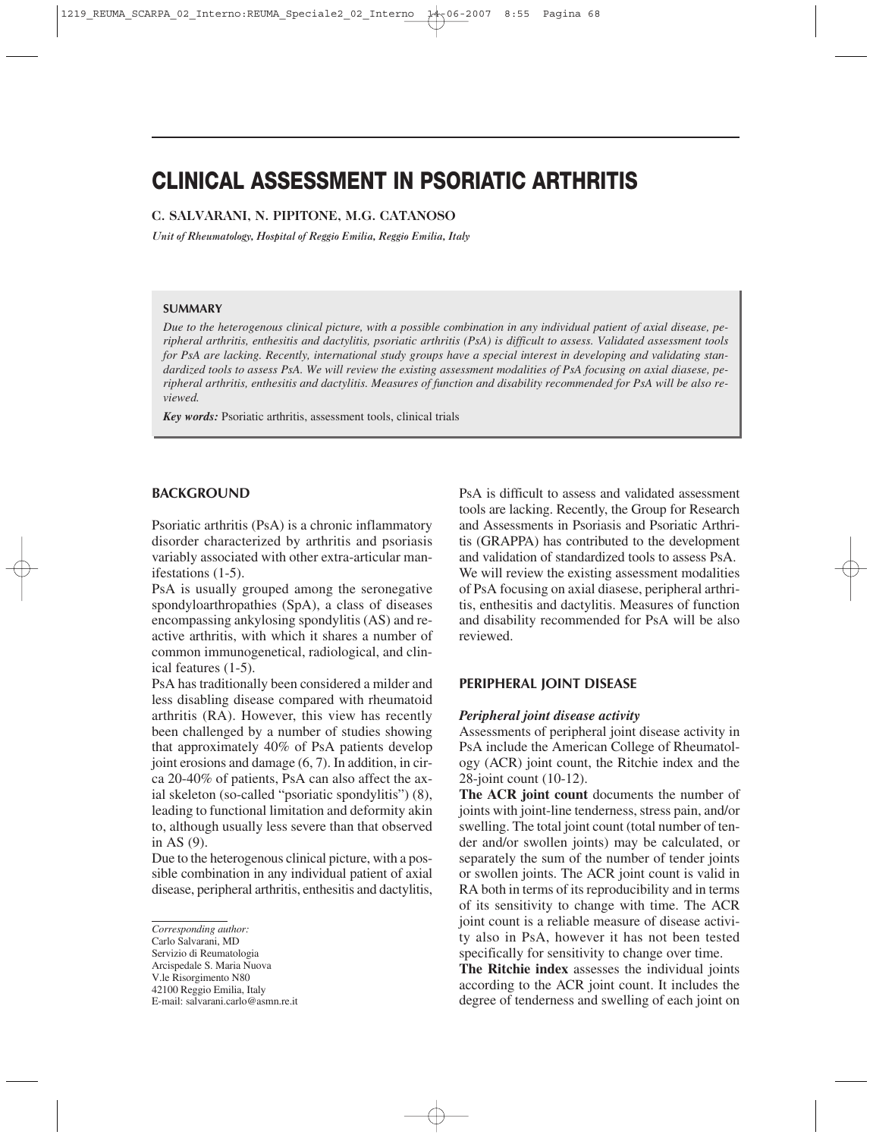# **CLINICAL ASSESSMENT IN PSORIATIC ARTHRITIS**

**C. SALVARANI, N. PIPITONE, M.G. CATANOSO**

*Unit of Rheumatology, Hospital of Reggio Emilia, Reggio Emilia, Italy*

### **SUMMARY**

**SUMMARY** *Due to the heterogenous clinical picture, with a possible combination in any individual patient of axial disease, peripheral arthritis, enthesitis and dactylitis, psoriatic arthritis (PsA) is difficult to assess. Validated assessment tools for PsA are lacking. Recently, international study groups have a special interest in developing and validating standardized tools to assess PsA. We will review the existing assessment modalities of PsA focusing on axial diasese, peripheral arthritis, enthesitis and dactylitis. Measures of function and disability recommended for PsA will be also reviewed.*

*Key words:* Psoriatic arthritis, assessment tools, clinical trials

## **BACKGROUND**

Psoriatic arthritis (PsA) is a chronic inflammatory disorder characterized by arthritis and psoriasis variably associated with other extra-articular manifestations (1-5).

PsA is usually grouped among the seronegative spondyloarthropathies (SpA), a class of diseases encompassing ankylosing spondylitis (AS) and reactive arthritis, with which it shares a number of common immunogenetical, radiological, and clinical features (1-5).

PsA has traditionally been considered a milder and less disabling disease compared with rheumatoid arthritis (RA). However, this view has recently been challenged by a number of studies showing that approximately 40% of PsA patients develop joint erosions and damage (6, 7). In addition, in circa 20-40% of patients, PsA can also affect the axial skeleton (so-called "psoriatic spondylitis") (8), leading to functional limitation and deformity akin to, although usually less severe than that observed in AS (9).

Due to the heterogenous clinical picture, with a possible combination in any individual patient of axial disease, peripheral arthritis, enthesitis and dactylitis,

Arcispedale S. Maria Nuova

PsA is difficult to assess and validated assessment tools are lacking. Recently, the Group for Research and Assessments in Psoriasis and Psoriatic Arthritis (GRAPPA) has contributed to the development and validation of standardized tools to assess PsA. We will review the existing assessment modalities of PsA focusing on axial diasese, peripheral arthritis, enthesitis and dactylitis. Measures of function and disability recommended for PsA will be also reviewed.

## **PERIPHERAL JOINT DISEASE**

#### *Peripheral joint disease activity*

Assessments of peripheral joint disease activity in PsA include the American College of Rheumatology (ACR) joint count, the Ritchie index and the 28-joint count (10-12).

**The ACR joint count** documents the number of joints with joint-line tenderness, stress pain, and/or swelling. The total joint count (total number of tender and/or swollen joints) may be calculated, or separately the sum of the number of tender joints or swollen joints. The ACR joint count is valid in RA both in terms of its reproducibility and in terms of its sensitivity to change with time. The ACR joint count is a reliable measure of disease activity also in PsA, however it has not been tested specifically for sensitivity to change over time.

**The Ritchie index** assesses the individual joints according to the ACR joint count. It includes the degree of tenderness and swelling of each joint on

*Corresponding author:* 

Carlo Salvarani, MD

Servizio di Reumatologia

V.le Risorgimento N80 42100 Reggio Emilia, Italy

E-mail: salvarani.carlo@asmn.re.it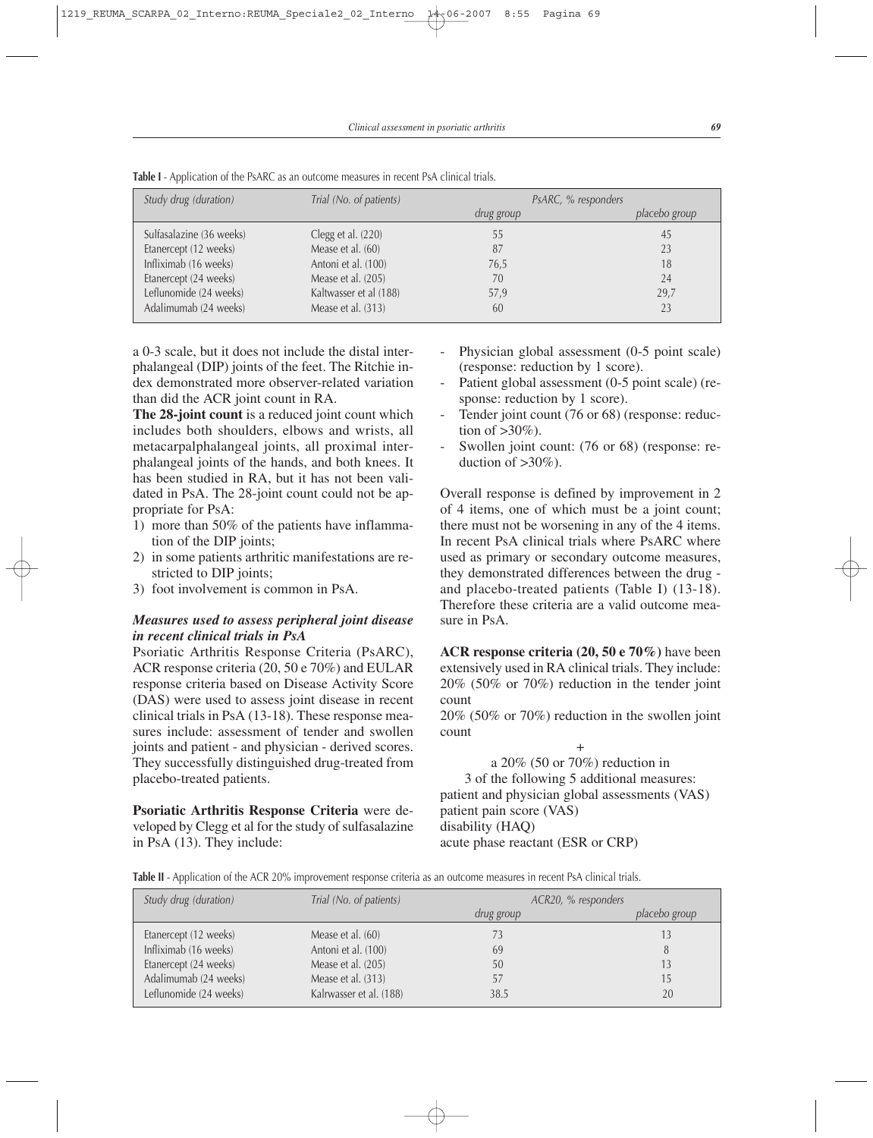| Study drug (duration)    | Trial (No. of patients) | PsARC, % responders |               |
|--------------------------|-------------------------|---------------------|---------------|
|                          |                         | drug group          | placebo group |
| Sulfasalazine (36 weeks) | Clegg et al. $(220)$    | 55                  | 45            |
| Etanercept (12 weeks)    | Mease et al. (60)       | 87                  | 23            |
| Infliximab (16 weeks)    | Antoni et al. (100)     | 76,5                | 18            |
| Etanercept (24 weeks)    | Mease et al. (205)      | 70                  | 24            |
| Leflunomide (24 weeks)   | Kaltwasser et al (188)  | 57,9                | 29,7          |
| Adalimumab (24 weeks)    | Mease et al. (313)      | 60                  | 23            |

**Table I** - Application of the PsARC as an outcome measures in recent PsA clinical trials.

a 0-3 scale, but it does not include the distal interphalangeal (DIP) joints of the feet. The Ritchie index demonstrated more observer-related variation than did the ACR joint count in RA.

**The 28-joint count** is a reduced joint count which includes both shoulders, elbows and wrists, all metacarpalphalangeal joints, all proximal interphalangeal joints of the hands, and both knees. It has been studied in RA, but it has not been validated in PsA. The 28-joint count could not be appropriate for PsA:

- 1) more than 50% of the patients have inflammation of the DIP joints;
- 2) in some patients arthritic manifestations are restricted to DIP joints;
- 3) foot involvement is common in PsA.

## *Measures used to assess peripheral joint disease in recent clinical trials in PsA*

Psoriatic Arthritis Response Criteria (PsARC), ACR response criteria (20, 50 e 70%) and EULAR response criteria based on Disease Activity Score (DAS) were used to assess joint disease in recent clinical trials in PsA (13-18). These response measures include: assessment of tender and swollen joints and patient - and physician - derived scores. They successfully distinguished drug-treated from placebo-treated patients.

**Psoriatic Arthritis Response Criteria** were developed by Clegg et al for the study of sulfasalazine in PsA (13). They include:

- Physician global assessment (0-5 point scale) (response: reduction by 1 score).
- Patient global assessment (0-5 point scale) (response: reduction by 1 score).
- Tender joint count (76 or 68) (response: reduction of  $>30\%$ ).
- Swollen joint count: (76 or 68) (response: reduction of  $>30\%$ ).

Overall response is defined by improvement in 2 of 4 items, one of which must be a joint count; there must not be worsening in any of the 4 items. In recent PsA clinical trials where PsARC where used as primary or secondary outcome measures, they demonstrated differences between the drug and placebo-treated patients (Table I) (13-18). Therefore these criteria are a valid outcome measure in PsA.

**ACR response criteria (20, 50 e 70%)** have been extensively used in RA clinical trials. They include: 20% (50% or 70%) reduction in the tender joint count

20% (50% or 70%) reduction in the swollen joint count

+ a 20% (50 or 70%) reduction in 3 of the following 5 additional measures: patient and physician global assessments (VAS) patient pain score (VAS) disability (HAQ) acute phase reactant (ESR or CRP)

**Table II** - Application of the ACR 20% improvement response criteria as an outcome measures in recent PsA clinical trials.

| Study drug (duration)                                                                            | Trial (No. of patients)                                                              | ACR20, % responders  |                     |
|--------------------------------------------------------------------------------------------------|--------------------------------------------------------------------------------------|----------------------|---------------------|
|                                                                                                  |                                                                                      | drug group           | placebo group       |
| Etanercept (12 weeks)<br>Infliximab (16 weeks)<br>Etanercept (24 weeks)<br>Adalimumab (24 weeks) | Mease et al. (60)<br>Antoni et al. (100)<br>Mease et al. (205)<br>Mease et al. (313) | 73<br>69<br>50<br>57 | 13<br>8<br>13<br>15 |
| Leflunomide (24 weeks)                                                                           | Kalrwasser et al. (188)                                                              | 38.5                 | 20                  |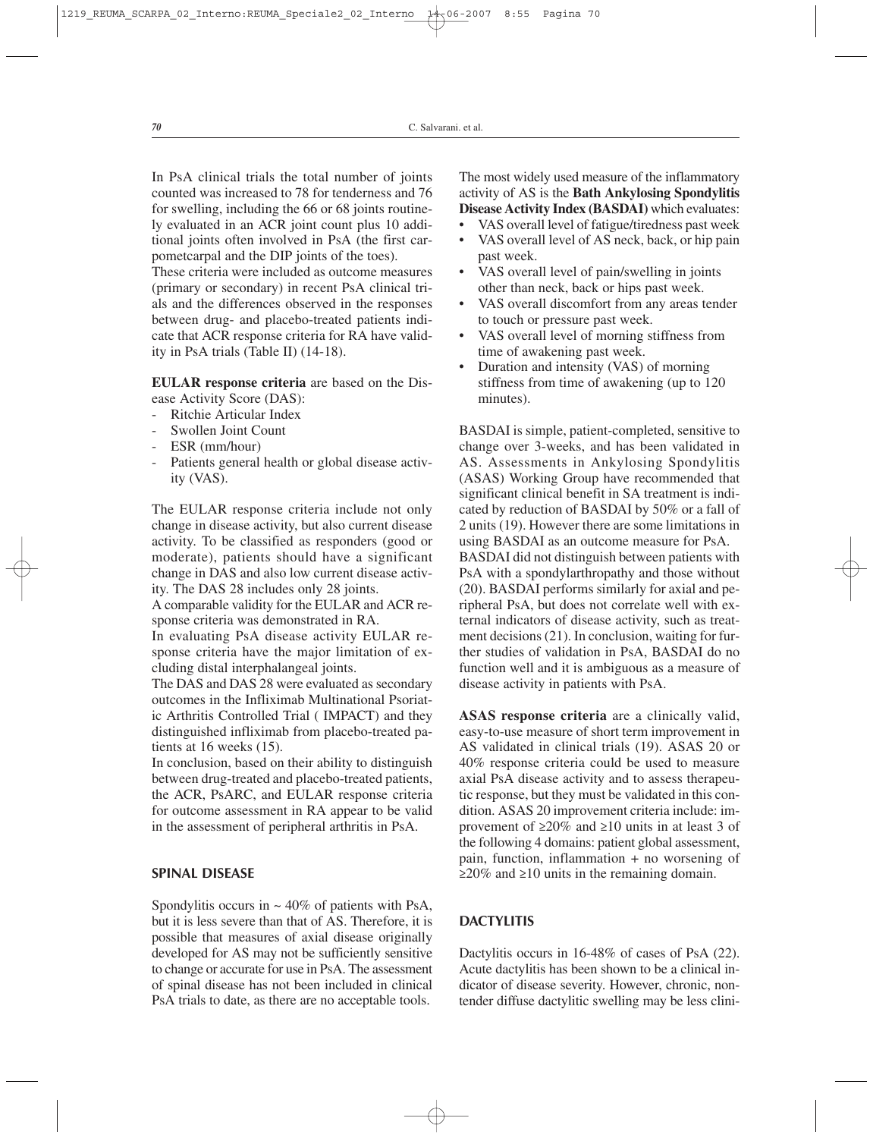In PsA clinical trials the total number of joints counted was increased to 78 for tenderness and 76 for swelling, including the 66 or 68 joints routinely evaluated in an ACR joint count plus 10 additional joints often involved in PsA (the first carpometcarpal and the DIP joints of the toes).

These criteria were included as outcome measures (primary or secondary) in recent PsA clinical trials and the differences observed in the responses between drug- and placebo-treated patients indicate that ACR response criteria for RA have validity in PsA trials (Table II) (14-18).

**EULAR response criteria** are based on the Disease Activity Score (DAS):

- Ritchie Articular Index
- Swollen Joint Count
- ESR (mm/hour)
- Patients general health or global disease activity (VAS).

The EULAR response criteria include not only change in disease activity, but also current disease activity. To be classified as responders (good or moderate), patients should have a significant change in DAS and also low current disease activity. The DAS 28 includes only 28 joints.

A comparable validity for the EULAR and ACR response criteria was demonstrated in RA.

In evaluating PsA disease activity EULAR response criteria have the major limitation of excluding distal interphalangeal joints.

The DAS and DAS 28 were evaluated as secondary outcomes in the Infliximab Multinational Psoriatic Arthritis Controlled Trial ( IMPACT) and they distinguished infliximab from placebo-treated patients at 16 weeks (15).

In conclusion, based on their ability to distinguish between drug-treated and placebo-treated patients, the ACR, PsARC, and EULAR response criteria for outcome assessment in RA appear to be valid in the assessment of peripheral arthritis in PsA.

#### **SPINAL DISEASE SPINAL DISEASE**

Spondylitis occurs in  $\sim$  40% of patients with PsA, but it is less severe than that of AS. Therefore, it is possible that measures of axial disease originally developed for AS may not be sufficiently sensitive to change or accurate for use in PsA. The assessment of spinal disease has not been included in clinical PsA trials to date, as there are no acceptable tools.

The most widely used measure of the inflammatory activity of AS is the **Bath Ankylosing Spondylitis Disease Activity Index (BASDAI)** which evaluates:

- VAS overall level of fatigue/tiredness past week
- VAS overall level of AS neck, back, or hip pain past week.
- VAS overall level of pain/swelling in joints other than neck, back or hips past week.
- VAS overall discomfort from any areas tender to touch or pressure past week.
- VAS overall level of morning stiffness from time of awakening past week.
- Duration and intensity (VAS) of morning stiffness from time of awakening (up to 120 minutes).

BASDAI is simple, patient-completed, sensitive to change over 3-weeks, and has been validated in AS. Assessments in Ankylosing Spondylitis (ASAS) Working Group have recommended that significant clinical benefit in SA treatment is indicated by reduction of BASDAI by 50% or a fall of 2 units (19). However there are some limitations in using BASDAI as an outcome measure for PsA. BASDAI did not distinguish between patients with PsA with a spondylarthropathy and those without (20). BASDAI performs similarly for axial and peripheral PsA, but does not correlate well with external indicators of disease activity, such as treatment decisions (21). In conclusion, waiting for further studies of validation in PsA, BASDAI do no function well and it is ambiguous as a measure of disease activity in patients with PsA.

**ASAS response criteria** are a clinically valid, easy-to-use measure of short term improvement in AS validated in clinical trials (19). ASAS 20 or 40% response criteria could be used to measure axial PsA disease activity and to assess therapeutic response, but they must be validated in this condition. ASAS 20 improvement criteria include: improvement of  $\geq 20\%$  and  $\geq 10$  units in at least 3 of the following 4 domains: patient global assessment, pain, function, inflammation + no worsening of  $\geq$ 20% and  $\geq$ 10 units in the remaining domain.

#### **DACTYLITIS DACTYLITIS**

Dactylitis occurs in 16-48% of cases of PsA (22). Acute dactylitis has been shown to be a clinical indicator of disease severity. However, chronic, nontender diffuse dactylitic swelling may be less clini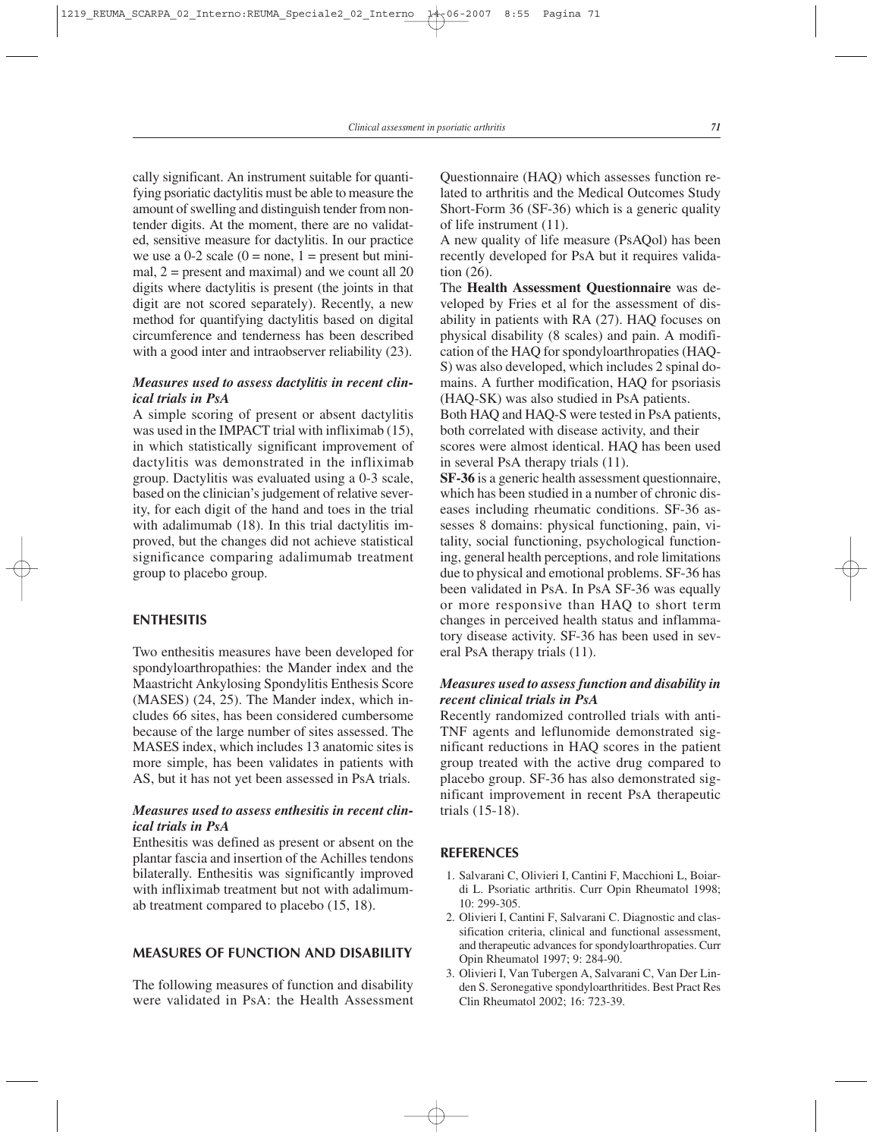cally significant. An instrument suitable for quantifying psoriatic dactylitis must be able to measure the amount of swelling and distinguish tender from nontender digits. At the moment, there are no validated, sensitive measure for dactylitis. In our practice we use a 0-2 scale  $(0 = none, 1 = present but mini$ mal,  $2$  = present and maximal) and we count all  $20$ digits where dactylitis is present (the joints in that

digit are not scored separately). Recently, a new method for quantifying dactylitis based on digital circumference and tenderness has been described with a good inter and intraobserver reliability  $(23)$ .

## *Measures used to assess dactylitis in recent clinical trials in PsA*

A simple scoring of present or absent dactylitis was used in the IMPACT trial with infliximab (15), in which statistically significant improvement of dactylitis was demonstrated in the infliximab group. Dactylitis was evaluated using a 0-3 scale, based on the clinician's judgement of relative severity, for each digit of the hand and toes in the trial with adalimumab (18). In this trial dactylitis improved, but the changes did not achieve statistical significance comparing adalimumab treatment group to placebo group.

## **ENTHESITIS**

Two enthesitis measures have been developed for spondyloarthropathies: the Mander index and the Maastricht Ankylosing Spondylitis Enthesis Score (MASES) (24, 25). The Mander index, which includes 66 sites, has been considered cumbersome because of the large number of sites assessed. The MASES index, which includes 13 anatomic sites is more simple, has been validates in patients with AS, but it has not yet been assessed in PsA trials.

### *Measures used to assess enthesitis in recent clinical trials in PsA*

Enthesitis was defined as present or absent on the plantar fascia and insertion of the Achilles tendons bilaterally. Enthesitis was significantly improved with infliximab treatment but not with adalimumab treatment compared to placebo (15, 18).

#### **MEASURES OF FUNCTION AND DISABILITY MEASURES OF FUNCTION AND DISABILITY**

The following measures of function and disability were validated in PsA: the Health Assessment

Questionnaire (HAQ) which assesses function related to arthritis and the Medical Outcomes Study Short-Form 36 (SF-36) which is a generic quality of life instrument (11).

A new quality of life measure (PsAQol) has been recently developed for PsA but it requires validation (26).

The **Health Assessment Questionnaire** was developed by Fries et al for the assessment of disability in patients with RA (27). HAQ focuses on physical disability (8 scales) and pain. A modification of the HAQ for spondyloarthropaties (HAQ-S) was also developed, which includes 2 spinal domains. A further modification, HAQ for psoriasis (HAQ-SK) was also studied in PsA patients. Both HAQ and HAQ-S were tested in PsA patients, both correlated with disease activity, and their

scores were almost identical. HAQ has been used in several PsA therapy trials (11).

**SF-36** is a generic health assessment questionnaire, which has been studied in a number of chronic diseases including rheumatic conditions. SF-36 assesses 8 domains: physical functioning, pain, vitality, social functioning, psychological functioning, general health perceptions, and role limitations due to physical and emotional problems. SF-36 has been validated in PsA. In PsA SF-36 was equally or more responsive than HAQ to short term changes in perceived health status and inflammatory disease activity. SF-36 has been used in several PsA therapy trials (11).

### *Measures used to assess function and disability in recent clinical trials in PsA*

Recently randomized controlled trials with anti-TNF agents and leflunomide demonstrated significant reductions in HAQ scores in the patient group treated with the active drug compared to placebo group. SF-36 has also demonstrated significant improvement in recent PsA therapeutic trials (15-18).

#### **REFERENCES REFERENCES**

- 1. Salvarani C, Olivieri I, Cantini F, Macchioni L, Boiardi L. Psoriatic arthritis. Curr Opin Rheumatol 1998; 10: 299-305.
- 2. Olivieri I, Cantini F, Salvarani C. Diagnostic and classification criteria, clinical and functional assessment, and therapeutic advances for spondyloarthropaties. Curr Opin Rheumatol 1997; 9: 284-90.
- 3. Olivieri I, Van Tubergen A, Salvarani C, Van Der Linden S. Seronegative spondyloarthritides. Best Pract Res Clin Rheumatol 2002; 16: 723-39.